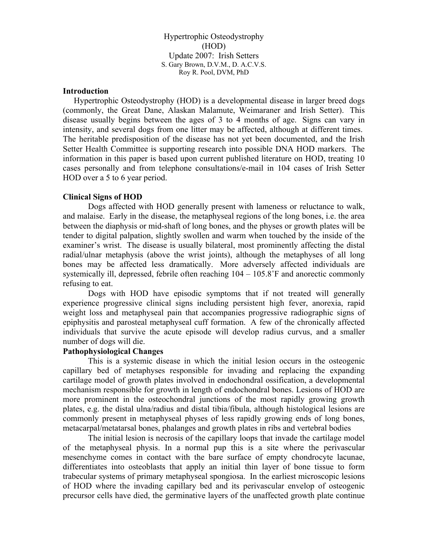Hypertrophic Osteodystrophy (HOD) Update 2007: Irish Setters S. Gary Brown, D.V.M., D. A.C.V.S. Roy R. Pool, DVM, PhD

### **Introduction**

 Hypertrophic Osteodystrophy (HOD) is a developmental disease in larger breed dogs (commonly, the Great Dane, Alaskan Malamute, Weimaraner and Irish Setter). This disease usually begins between the ages of 3 to 4 months of age. Signs can vary in intensity, and several dogs from one litter may be affected, although at different times. The heritable predisposition of the disease has not yet been documented, and the Irish Setter Health Committee is supporting research into possible DNA HOD markers. The information in this paper is based upon current published literature on HOD, treating 10 cases personally and from telephone consultations/e-mail in 104 cases of Irish Setter HOD over a 5 to 6 year period.

### **Clinical Signs of HOD**

Dogs affected with HOD generally present with lameness or reluctance to walk, and malaise. Early in the disease, the metaphyseal regions of the long bones, i.e. the area between the diaphysis or mid-shaft of long bones, and the physes or growth plates will be tender to digital palpation, slightly swollen and warm when touched by the inside of the examiner's wrist. The disease is usually bilateral, most prominently affecting the distal radial/ulnar metaphysis (above the wrist joints), although the metaphyses of all long bones may be affected less dramatically. More adversely affected individuals are systemically ill, depressed, febrile often reaching 104 – 105.8˚F and anorectic commonly refusing to eat.

Dogs with HOD have episodic symptoms that if not treated will generally experience progressive clinical signs including persistent high fever, anorexia, rapid weight loss and metaphyseal pain that accompanies progressive radiographic signs of epiphysitis and parosteal metaphyseal cuff formation. A few of the chronically affected individuals that survive the acute episode will develop radius curvus, and a smaller number of dogs will die.

### **Pathophysiological Changes**

This is a systemic disease in which the initial lesion occurs in the osteogenic capillary bed of metaphyses responsible for invading and replacing the expanding cartilage model of growth plates involved in endochondral ossification, a developmental mechanism responsible for growth in length of endochondral bones. Lesions of HOD are more prominent in the osteochondral junctions of the most rapidly growing growth plates, e.g. the distal ulna/radius and distal tibia/fibula, although histological lesions are commonly present in metaphyseal physes of less rapidly growing ends of long bones, metacarpal/metatarsal bones, phalanges and growth plates in ribs and vertebral bodies

The initial lesion is necrosis of the capillary loops that invade the cartilage model of the metaphyseal physis. In a normal pup this is a site where the perivascular mesenchyme comes in contact with the bare surface of empty chondrocyte lacunae, differentiates into osteoblasts that apply an initial thin layer of bone tissue to form trabecular systems of primary metaphyseal spongiosa. In the earliest microscopic lesions of HOD where the invading capillary bed and its perivascular envelop of osteogenic precursor cells have died, the germinative layers of the unaffected growth plate continue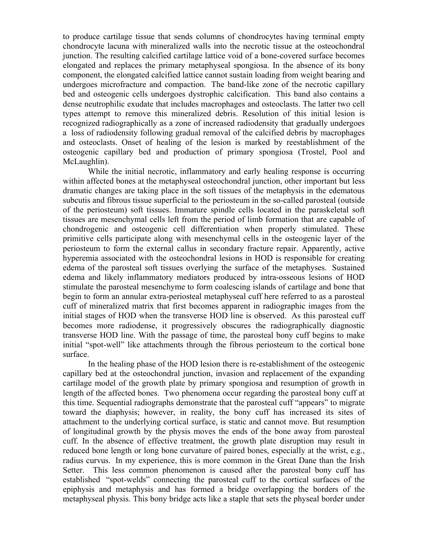to produce cartilage tissue that sends columns of chondrocytes having terminal empty chondrocyte lacuna with mineralized walls into the necrotic tissue at the osteochondral junction. The resulting calcified cartilage lattice void of a bone-covered surface becomes elongated and replaces the primary metaphyseal spongiosa. In the absence of its bony component, the elongated calcified lattice cannot sustain loading from weight bearing and undergoes microfracture and compaction. The band-like zone of the necrotic capillary bed and osteogenic cells undergoes dystrophic calcification. This band also contains a dense neutrophilic exudate that includes macrophages and osteoclasts. The latter two cell types attempt to remove this mineralized debris. Resolution of this initial lesion is recognized radiographically as a zone of increased radiodensity that gradually undergoes a loss of radiodensity following gradual removal of the calcified debris by macrophages and osteoclasts. Onset of healing of the lesion is marked by reestablishment of the osteogenic capillary bed and production of primary spongiosa (Trostel, Pool and McLaughlin).

While the initial necrotic, inflammatory and early healing response is occurring within affected bones at the metaphyseal osteochondral junction, other important but less dramatic changes are taking place in the soft tissues of the metaphysis in the edematous subcutis and fibrous tissue superficial to the periosteum in the so-called parosteal (outside of the periosteum) soft tissues. Immature spindle cells located in the paraskeletal soft tissues are mesenchymal cells left from the period of limb formation that are capable of chondrogenic and osteogenic cell differentiation when properly stimulated. These primitive cells participate along with mesenchymal cells in the osteogenic layer of the periosteum to form the external callus in secondary fracture repair. Apparently, active hyperemia associated with the osteochondral lesions in HOD is responsible for creating edema of the parosteal soft tissues overlying the surface of the metaphyses. Sustained edema and likely inflammatory mediators produced by intra-osseous lesions of HOD stimulate the parosteal mesenchyme to form coalescing islands of cartilage and bone that begin to form an annular extra-periosteal metaphyseal cuff here referred to as a parosteal cuff of mineralized matrix that first becomes apparent in radiographic images from the initial stages of HOD when the transverse HOD line is observed. As this parosteal cuff becomes more radiodense, it progressively obscures the radiographically diagnostic transverse HOD line. With the passage of time, the parosteal bony cuff begins to make initial "spot-well" like attachments through the fibrous periosteum to the cortical bone surface.

In the healing phase of the HOD lesion there is re-establishment of the osteogenic capillary bed at the osteochondral junction, invasion and replacement of the expanding cartilage model of the growth plate by primary spongiosa and resumption of growth in length of the affected bones. Two phenomena occur regarding the parosteal bony cuff at this time. Sequential radiographs demonstrate that the parosteal cuff "appears" to migrate toward the diaphysis; however, in reality, the bony cuff has increased its sites of attachment to the underlying cortical surface, is static and cannot move. But resumption of longitudinal growth by the physis moves the ends of the bone away from parosteal cuff. In the absence of effective treatment, the growth plate disruption may result in reduced bone length or long bone curvature of paired bones, especially at the wrist, e.g., radius curvus. In my experience, this is more common in the Great Dane than the Irish Setter. This less common phenomenon is caused after the parosteal bony cuff has established "spot-welds" connecting the parosteal cuff to the cortical surfaces of the epiphysis and metaphysis and has formed a bridge overlapping the borders of the metaphyseal physis. This bony bridge acts like a staple that sets the physeal border under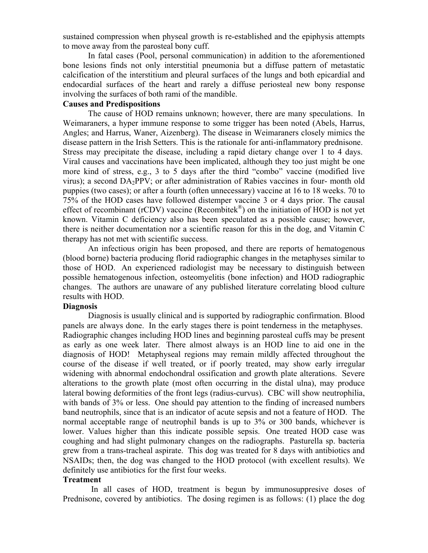sustained compression when physeal growth is re-established and the epiphysis attempts to move away from the parosteal bony cuff.

In fatal cases (Pool, personal communication) in addition to the aforementioned bone lesions finds not only interstitial pneumonia but a diffuse pattern of metastatic calcification of the interstitium and pleural surfaces of the lungs and both epicardial and endocardial surfaces of the heart and rarely a diffuse periosteal new bony response involving the surfaces of both rami of the mandible.

# **Causes and Predispositions**

The cause of HOD remains unknown; however, there are many speculations. In Weimaraners, a hyper immune response to some trigger has been noted (Abels, Harrus, Angles; and Harrus, Waner, Aizenberg). The disease in Weimaraners closely mimics the disease pattern in the Irish Setters. This is the rationale for anti-inflammatory prednisone. Stress may precipitate the disease, including a rapid dietary change over 1 to 4 days. Viral causes and vaccinations have been implicated, although they too just might be one more kind of stress, e.g., 3 to 5 days after the third "combo" vaccine (modified live virus); a second DA2PPV; or after administration of Rabies vaccines in four- month old puppies (two cases); or after a fourth (often unnecessary) vaccine at 16 to 18 weeks. 70 to 75% of the HOD cases have followed distemper vaccine 3 or 4 days prior. The causal effect of recombinant (rCDV) vaccine (Recombitek®) on the initiation of HOD is not yet known. Vitamin C deficiency also has been speculated as a possible cause; however, there is neither documentation nor a scientific reason for this in the dog, and Vitamin C therapy has not met with scientific success.

An infectious origin has been proposed, and there are reports of hematogenous (blood borne) bacteria producing florid radiographic changes in the metaphyses similar to those of HOD. An experienced radiologist may be necessary to distinguish between possible hematogenous infection, osteomyelitis (bone infection) and HOD radiographic changes. The authors are unaware of any published literature correlating blood culture results with HOD.

### **Diagnosis**

Diagnosis is usually clinical and is supported by radiographic confirmation. Blood panels are always done. In the early stages there is point tenderness in the metaphyses. Radiographic changes including HOD lines and beginning parosteal cuffs may be present as early as one week later. There almost always is an HOD line to aid one in the diagnosis of HOD! Metaphyseal regions may remain mildly affected throughout the course of the disease if well treated, or if poorly treated, may show early irregular widening with abnormal endochondral ossification and growth plate alterations. Severe alterations to the growth plate (most often occurring in the distal ulna), may produce lateral bowing deformities of the front legs (radius-curvus). CBC will show neutrophilia, with bands of 3% or less. One should pay attention to the finding of increased numbers band neutrophils, since that is an indicator of acute sepsis and not a feature of HOD. The normal acceptable range of neutrophil bands is up to 3% or 300 bands, whichever is lower. Values higher than this indicate possible sepsis. One treated HOD case was coughing and had slight pulmonary changes on the radiographs. Pasturella sp. bacteria grew from a trans-tracheal aspirate. This dog was treated for 8 days with antibiotics and NSAIDs; then, the dog was changed to the HOD protocol (with excellent results). We definitely use antibiotics for the first four weeks.

# **Treatment**

 In all cases of HOD, treatment is begun by immunosuppresive doses of Prednisone, covered by antibiotics. The dosing regimen is as follows: (1) place the dog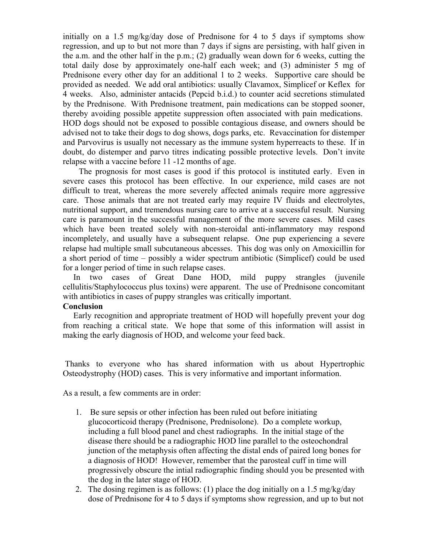initially on a 1.5 mg/kg/day dose of Prednisone for 4 to 5 days if symptoms show regression, and up to but not more than 7 days if signs are persisting, with half given in the a.m. and the other half in the p.m.; (2) gradually wean down for 6 weeks, cutting the total daily dose by approximately one-half each week; and (3) administer 5 mg of Prednisone every other day for an additional 1 to 2 weeks. Supportive care should be provided as needed. We add oral antibiotics: usually Clavamox, Simplicef or Keflex for 4 weeks. Also, administer antacids (Pepcid b.i.d.) to counter acid secretions stimulated by the Prednisone. With Prednisone treatment, pain medications can be stopped sooner, thereby avoiding possible appetite suppression often associated with pain medications. HOD dogs should not be exposed to possible contagious disease, and owners should be advised not to take their dogs to dog shows, dogs parks, etc. Revaccination for distemper and Parvovirus is usually not necessary as the immune system hyperreacts to these. If in doubt, do distemper and parvo titres indicating possible protective levels. Don't invite relapse with a vaccine before 11 -12 months of age.

 The prognosis for most cases is good if this protocol is instituted early. Even in severe cases this protocol has been effective. In our experience, mild cases are not difficult to treat, whereas the more severely affected animals require more aggressive care. Those animals that are not treated early may require IV fluids and electrolytes, nutritional support, and tremendous nursing care to arrive at a successful result. Nursing care is paramount in the successful management of the more severe cases. Mild cases which have been treated solely with non-steroidal anti-inflammatory may respond incompletely, and usually have a subsequent relapse. One pup experiencing a severe relapse had multiple small subcutaneous abcesses. This dog was only on Amoxicillin for a short period of time – possibly a wider spectrum antibiotic (Simplicef) could be used for a longer period of time in such relapse cases.

In two cases of Great Dane HOD, mild puppy strangles (juvenile cellulitis/Staphylococcus plus toxins) were apparent. The use of Prednisone concomitant with antibiotics in cases of puppy strangles was critically important.

### **Conclusion**

Early recognition and appropriate treatment of HOD will hopefully prevent your dog from reaching a critical state. We hope that some of this information will assist in making the early diagnosis of HOD, and welcome your feed back.

 Thanks to everyone who has shared information with us about Hypertrophic Osteodystrophy (HOD) cases. This is very informative and important information.

As a result, a few comments are in order:

- 1. Be sure sepsis or other infection has been ruled out before initiating glucocorticoid therapy (Prednisone, Prednisolone). Do a complete workup, including a full blood panel and chest radiographs. In the initial stage of the disease there should be a radiographic HOD line parallel to the osteochondral junction of the metaphysis often affecting the distal ends of paired long bones for a diagnosis of HOD! However, remember that the parosteal cuff in time will progressively obscure the intial radiographic finding should you be presented with the dog in the later stage of HOD.
- 2. The dosing regimen is as follows: (1) place the dog initially on a 1.5 mg/kg/day dose of Prednisone for 4 to 5 days if symptoms show regression, and up to but not